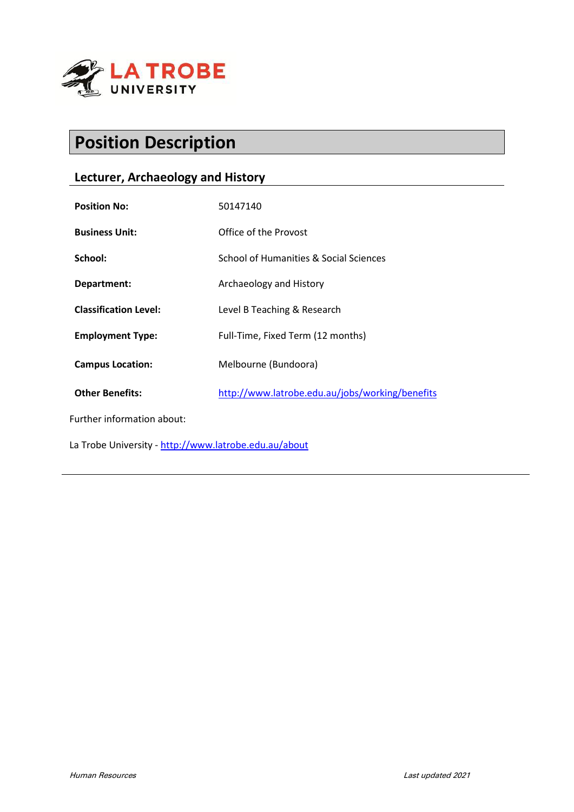

# **Position Description**

# **Lecturer, Archaeology and History**

| <b>Position No:</b>                                   | 50147140                                        |
|-------------------------------------------------------|-------------------------------------------------|
| <b>Business Unit:</b>                                 | Office of the Provost                           |
| School:                                               | School of Humanities & Social Sciences          |
| Department:                                           | Archaeology and History                         |
| <b>Classification Level:</b>                          | Level B Teaching & Research                     |
| <b>Employment Type:</b>                               | Full-Time, Fixed Term (12 months)               |
| <b>Campus Location:</b>                               | Melbourne (Bundoora)                            |
| <b>Other Benefits:</b>                                | http://www.latrobe.edu.au/jobs/working/benefits |
| Further information about:                            |                                                 |
| La Trobe University - http://www.latrobe.edu.au/about |                                                 |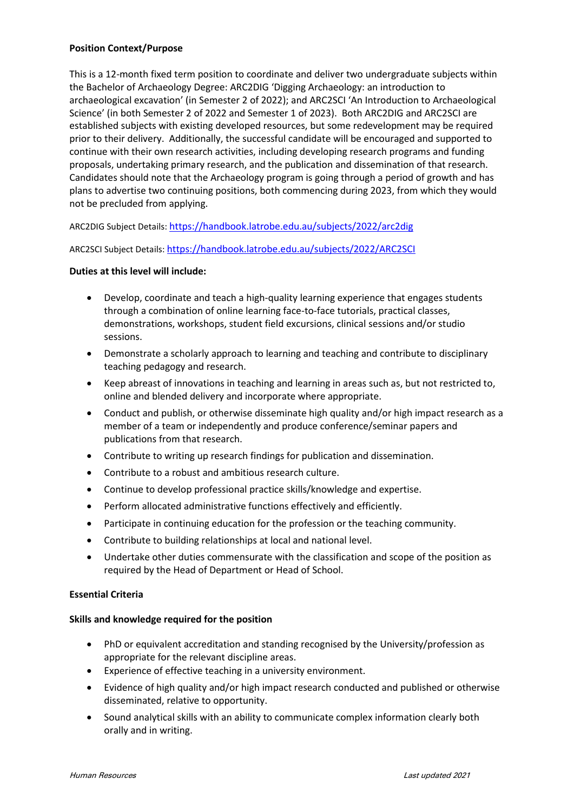# **Position Context/Purpose**

This is a 12-month fixed term position to coordinate and deliver two undergraduate subjects within the Bachelor of Archaeology Degree: ARC2DIG 'Digging Archaeology: an introduction to archaeological excavation' (in Semester 2 of 2022); and ARC2SCI 'An Introduction to Archaeological Science' (in both Semester 2 of 2022 and Semester 1 of 2023). Both ARC2DIG and ARC2SCI are established subjects with existing developed resources, but some redevelopment may be required prior to their delivery. Additionally, the successful candidate will be encouraged and supported to continue with their own research activities, including developing research programs and funding proposals, undertaking primary research, and the publication and dissemination of that research. Candidates should note that the Archaeology program is going through a period of growth and has plans to advertise two continuing positions, both commencing during 2023, from which they would not be precluded from applying.

ARC2DIG Subject Details: [https://handbook.latrobe.edu.au/subjects/2022/arc2dig](https://handbook.latrobe.edu.au/subjects/2022/arc2dig?year=2022)

ARC2SCI Subject Details[: https://handbook.latrobe.edu.au/subjects/2022/ARC2SCI](https://handbook.latrobe.edu.au/subjects/2022/ARC2SCI)

#### **Duties at this level will include:**

- Develop, coordinate and teach a high-quality learning experience that engages students through a combination of online learning face-to-face tutorials, practical classes, demonstrations, workshops, student field excursions, clinical sessions and/or studio sessions.
- Demonstrate a scholarly approach to learning and teaching and contribute to disciplinary teaching pedagogy and research.
- Keep abreast of innovations in teaching and learning in areas such as, but not restricted to, online and blended delivery and incorporate where appropriate.
- Conduct and publish, or otherwise disseminate high quality and/or high impact research as a member of a team or independently and produce conference/seminar papers and publications from that research.
- Contribute to writing up research findings for publication and dissemination.
- Contribute to a robust and ambitious research culture.
- Continue to develop professional practice skills/knowledge and expertise.
- Perform allocated administrative functions effectively and efficiently.
- Participate in continuing education for the profession or the teaching community.
- Contribute to building relationships at local and national level.
- Undertake other duties commensurate with the classification and scope of the position as required by the Head of Department or Head of School.

#### **Essential Criteria**

#### **Skills and knowledge required for the position**

- PhD or equivalent accreditation and standing recognised by the University/profession as appropriate for the relevant discipline areas.
- Experience of effective teaching in a university environment.
- Evidence of high quality and/or high impact research conducted and published or otherwise disseminated, relative to opportunity.
- Sound analytical skills with an ability to communicate complex information clearly both orally and in writing.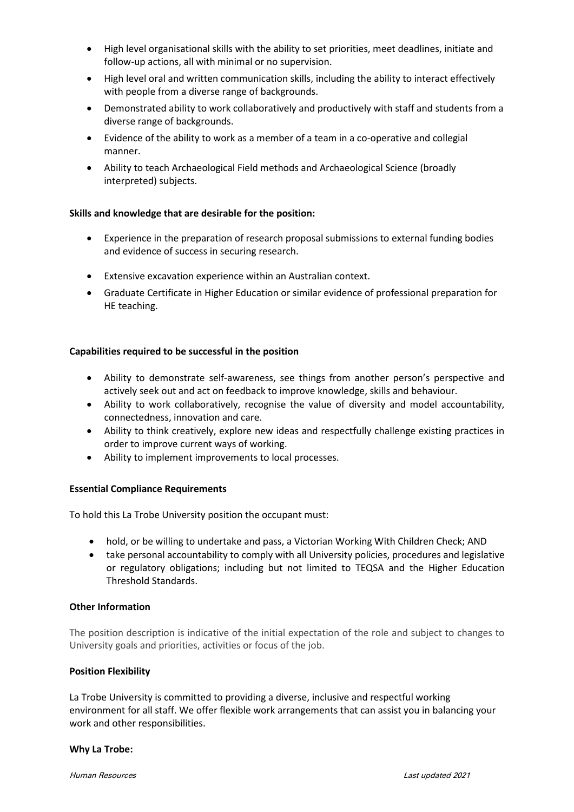- High level organisational skills with the ability to set priorities, meet deadlines, initiate and follow-up actions, all with minimal or no supervision.
- High level oral and written communication skills, including the ability to interact effectively with people from a diverse range of backgrounds.
- Demonstrated ability to work collaboratively and productively with staff and students from a diverse range of backgrounds.
- Evidence of the ability to work as a member of a team in a co-operative and collegial manner.
- Ability to teach Archaeological Field methods and Archaeological Science (broadly interpreted) subjects.

# **Skills and knowledge that are desirable for the position:**

- Experience in the preparation of research proposal submissions to external funding bodies and evidence of success in securing research.
- Extensive excavation experience within an Australian context.
- Graduate Certificate in Higher Education or similar evidence of professional preparation for HE teaching.

# **Capabilities required to be successful in the position**

- Ability to demonstrate self-awareness, see things from another person's perspective and actively seek out and act on feedback to improve knowledge, skills and behaviour.
- Ability to work collaboratively, recognise the value of diversity and model accountability, connectedness, innovation and care.
- Ability to think creatively, explore new ideas and respectfully challenge existing practices in order to improve current ways of working.
- Ability to implement improvements to local processes.

# **Essential Compliance Requirements**

To hold this La Trobe University position the occupant must:

- hold, or be willing to undertake and pass, a Victorian Working With Children Check; AND
- take personal accountability to comply with all University policies, procedures and legislative or regulatory obligations; including but not limited to TEQSA and the Higher Education Threshold Standards.

#### **Other Information**

The position description is indicative of the initial expectation of the role and subject to changes to University goals and priorities, activities or focus of the job.

#### **Position Flexibility**

La Trobe University is committed to providing a diverse, inclusive and respectful working environment for all staff. We offer flexible work arrangements that can assist you in balancing your work and other responsibilities.

#### **Why La Trobe:**